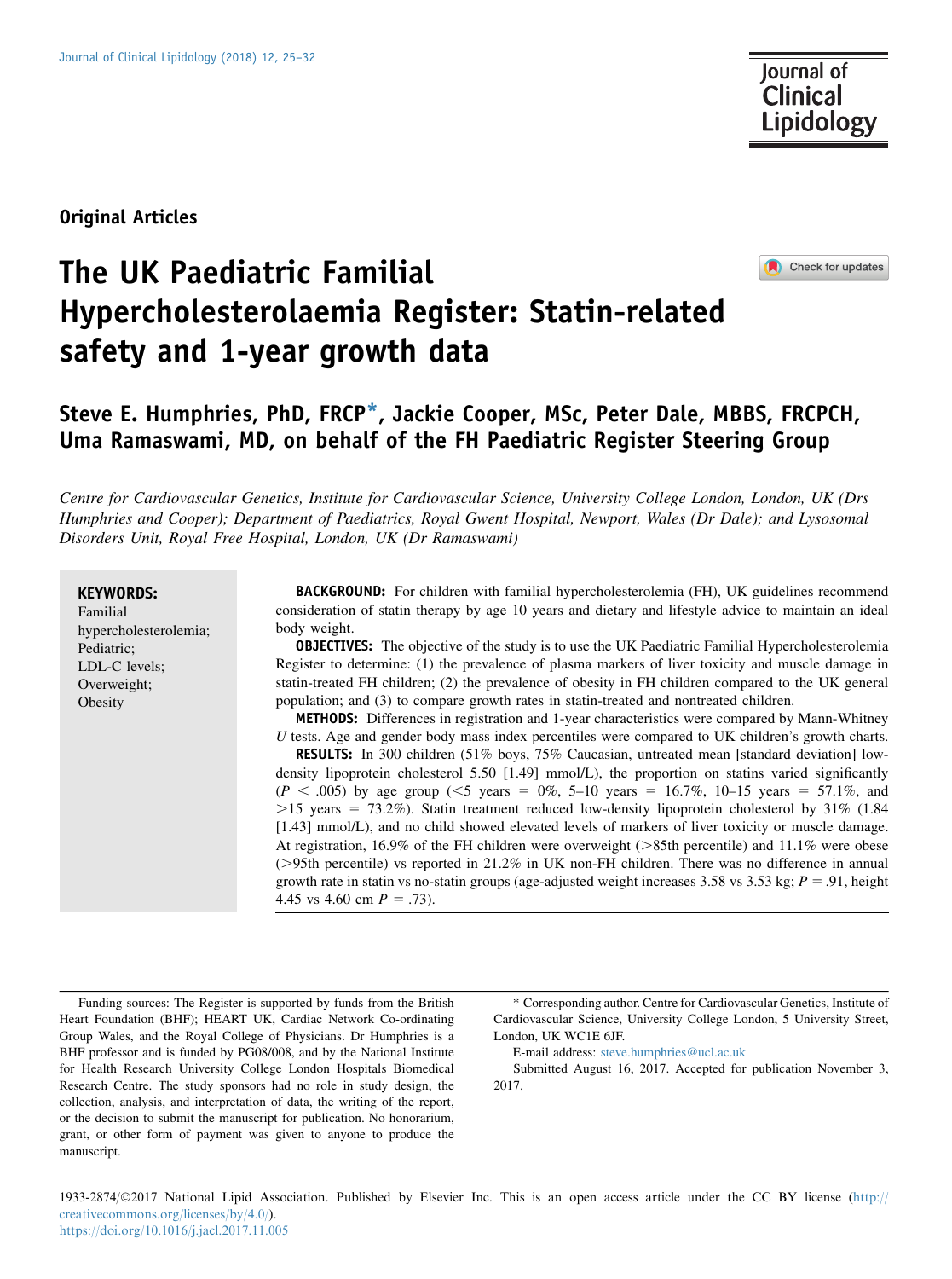Original Articles

Check for updates

# The UK Paediatric Familial Hypercholesterolaemia Register: Statin-related safety and 1-year growth data

# Steve E. Humphries, PhD, FRCP\*, Jackie Cooper, MSc, Peter Dale, MBBS, FRCPCH, Uma Ramaswami, MD, on behalf of the FH Paediatric Register Steering Group

Centre for Cardiovascular Genetics, Institute for Cardiovascular Science, University College London, London, UK (Drs Humphries and Cooper); Department of Paediatrics, Royal Gwent Hospital, Newport, Wales (Dr Dale); and Lysosomal Disorders Unit, Royal Free Hospital, London, UK (Dr Ramaswami)

#### KEYWORDS:

Familial hypercholesterolemia; Pediatric; LDL-C levels; Overweight; **Obesity** 

BACKGROUND: For children with familial hypercholesterolemia (FH), UK guidelines recommend consideration of statin therapy by age 10 years and dietary and lifestyle advice to maintain an ideal body weight.

**OBJECTIVES:** The objective of the study is to use the UK Paediatric Familial Hypercholesterolemia Register to determine: (1) the prevalence of plasma markers of liver toxicity and muscle damage in statin-treated FH children; (2) the prevalence of obesity in FH children compared to the UK general population; and (3) to compare growth rates in statin-treated and nontreated children.

METHODS: Differences in registration and 1-year characteristics were compared by Mann-Whitney U tests. Age and gender body mass index percentiles were compared to UK children's growth charts.

RESULTS: In 300 children (51% boys, 75% Caucasian, untreated mean [standard deviation] lowdensity lipoprotein cholesterol 5.50 [1.49] mmol/L), the proportion on statins varied significantly  $(P < .005)$  by age group (<5 years = 0%, 5–10 years = 16.7%, 10–15 years = 57.1%, and  $>15$  years = 73.2%). Statin treatment reduced low-density lipoprotein cholesterol by 31% (1.84) [1.43] mmol/L), and no child showed elevated levels of markers of liver toxicity or muscle damage. At registration, 16.9% of the FH children were overweight  $($ >85th percentile) and 11.1% were obese  $(>= 95th$  percentile) vs reported in 21.2% in UK non-FH children. There was no difference in annual growth rate in statin vs no-statin groups (age-adjusted weight increases 3.58 vs 3.53 kg;  $P = .91$ , height 4.45 vs 4.60 cm  $P = .73$ ).

Funding sources: The Register is supported by funds from the British Heart Foundation (BHF); HEART UK, Cardiac Network Co-ordinating Group Wales, and the Royal College of Physicians. Dr Humphries is a BHF professor and is funded by PG08/008, and by the National Institute for Health Research University College London Hospitals Biomedical Research Centre. The study sponsors had no role in study design, the collection, analysis, and interpretation of data, the writing of the report, or the decision to submit the manuscript for publication. No honorarium, grant, or other form of payment was given to anyone to produce the manuscript.

\* Corresponding author. Centre for Cardiovascular Genetics, Institute of Cardiovascular Science, University College London, 5 University Street, London, UK WC1E 6JF.

E-mail address: [steve.humphries@ucl.ac.uk](mailto:steve.humphries@ucl.ac.uk)

Submitted August 16, 2017. Accepted for publication November 3, 2017.

1933-2874/2017 National Lipid Association. Published by Elsevier Inc. This is an open access article under the CC BY license [\(http://](http://creativecommons.org/licenses/by/4.0/) [creativecommons.org/licenses/by/4.0/\)](http://creativecommons.org/licenses/by/4.0/). <https://doi.org/10.1016/j.jacl.2017.11.005>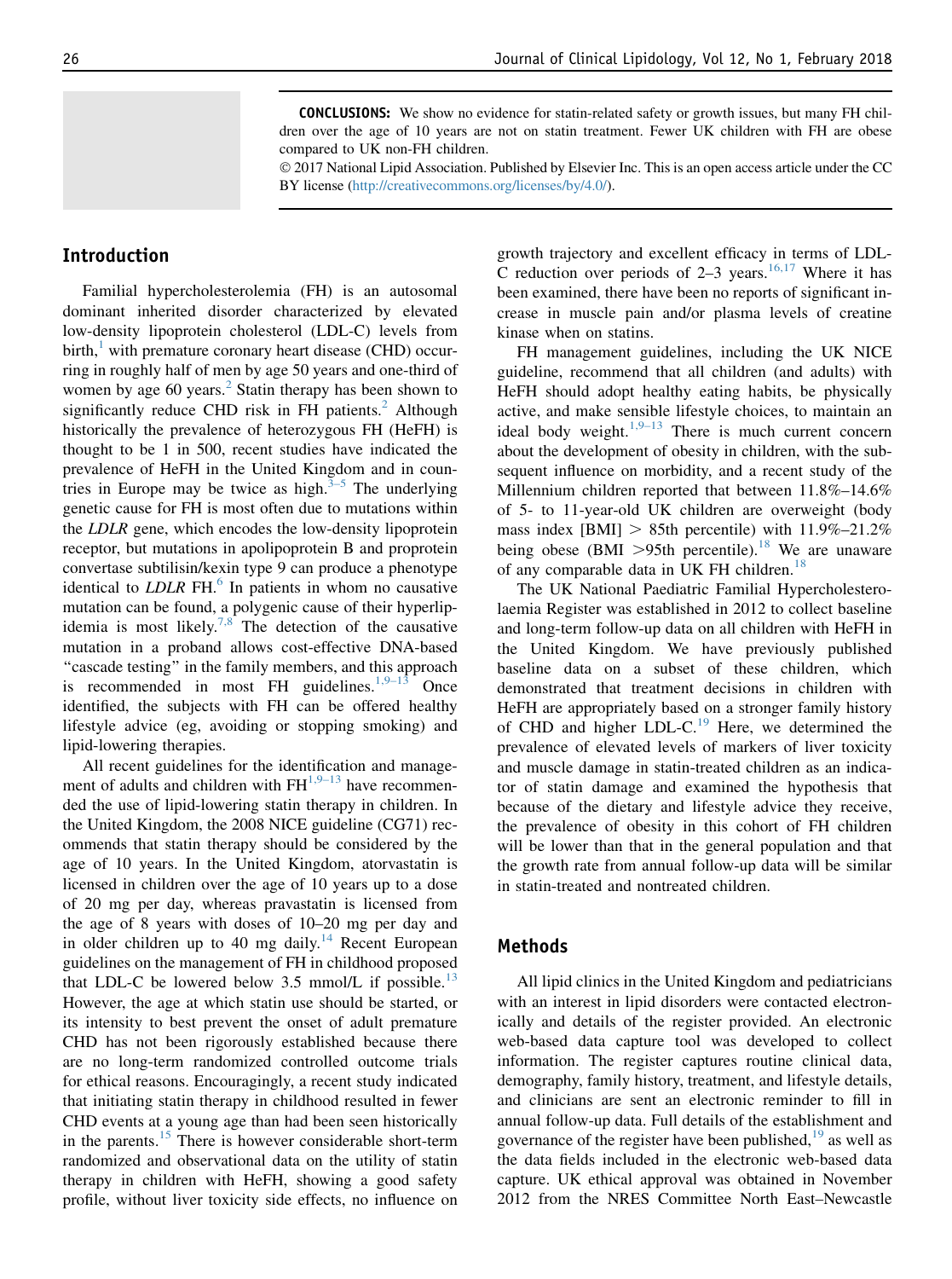CONCLUSIONS: We show no evidence for statin-related safety or growth issues, but many FH children over the age of 10 years are not on statin treatment. Fewer UK children with FH are obese compared to UK non-FH children.

 2017 National Lipid Association. Published by Elsevier Inc. This is an open access article under the CC BY license [\(http://creativecommons.org/licenses/by/4.0/](http://creativecommons.org/licenses/by/4.0/)).

# Introduction

Familial hypercholesterolemia (FH) is an autosomal dominant inherited disorder characterized by elevated low-density lipoprotein cholesterol (LDL-C) levels from birth, $\frac{1}{1}$  with premature coronary heart disease (CHD) occurring in roughly half of men by age 50 years and one-third of women by age 60 years.<sup>[2](#page-6-0)</sup> Statin therapy has been shown to significantly reduce CHD risk in FH patients. $<sup>2</sup>$  Although</sup> historically the prevalence of heterozygous FH (HeFH) is thought to be 1 in 500, recent studies have indicated the prevalence of HeFH in the United Kingdom and in countries in Europe may be twice as high. $3-5$  The underlying genetic cause for FH is most often due to mutations within the LDLR gene, which encodes the low-density lipoprotein receptor, but mutations in apolipoprotein B and proprotein convertase subtilisin/kexin type 9 can produce a phenotype identical to  $LDLR$  FH. $^{6}$  In patients in whom no causative mutation can be found, a polygenic cause of their hyperlip-idemia is most likely.<sup>[7,8](#page-7-0)</sup> The detection of the causative mutation in a proband allows cost-effective DNA-based "cascade testing" in the family members, and this approach is recommended in most FH guidelines.<sup>[1,9–13](#page-6-0)</sup> Once identified, the subjects with FH can be offered healthy lifestyle advice (eg, avoiding or stopping smoking) and lipid-lowering therapies.

All recent guidelines for the identification and management of adults and children with  $FH<sup>1,9–13</sup>$  $FH<sup>1,9–13</sup>$  $FH<sup>1,9–13</sup>$  have recommended the use of lipid-lowering statin therapy in children. In the United Kingdom, the 2008 NICE guideline (CG71) recommends that statin therapy should be considered by the age of 10 years. In the United Kingdom, atorvastatin is licensed in children over the age of 10 years up to a dose of 20 mg per day, whereas pravastatin is licensed from the age of 8 years with doses of 10–20 mg per day and in older children up to 40 mg daily.<sup>[14](#page-7-0)</sup> Recent European guidelines on the management of FH in childhood proposed that LDL-C be lowered below 3.5 mmol/L if possible.<sup>[13](#page-7-0)</sup> However, the age at which statin use should be started, or its intensity to best prevent the onset of adult premature CHD has not been rigorously established because there are no long-term randomized controlled outcome trials for ethical reasons. Encouragingly, a recent study indicated that initiating statin therapy in childhood resulted in fewer CHD events at a young age than had been seen historically in the parents. $15$  There is however considerable short-term randomized and observational data on the utility of statin therapy in children with HeFH, showing a good safety profile, without liver toxicity side effects, no influence on

growth trajectory and excellent efficacy in terms of LDL-C reduction over periods of  $2-3$  years.<sup>[16,17](#page-7-0)</sup> Where it has been examined, there have been no reports of significant increase in muscle pain and/or plasma levels of creatine kinase when on statins.

FH management guidelines, including the UK NICE guideline, recommend that all children (and adults) with HeFH should adopt healthy eating habits, be physically active, and make sensible lifestyle choices, to maintain an ideal body weight.<sup>[1,9–13](#page-6-0)</sup> There is much current concern about the development of obesity in children, with the subsequent influence on morbidity, and a recent study of the Millennium children reported that between 11.8%–14.6% of 5- to 11-year-old UK children are overweight (body mass index  $[BMI] > 85$ th percentile) with  $11.9\% - 21.2\%$ being obese (BMI  $>95$ th percentile).<sup>[18](#page-7-0)</sup> We are unaware of any comparable data in UK FH children.<sup>[18](#page-7-0)</sup>

The UK National Paediatric Familial Hypercholesterolaemia Register was established in 2012 to collect baseline and long-term follow-up data on all children with HeFH in the United Kingdom. We have previously published baseline data on a subset of these children, which demonstrated that treatment decisions in children with HeFH are appropriately based on a stronger family history of CHD and higher LDL-C.<sup>[19](#page-7-0)</sup> Here, we determined the prevalence of elevated levels of markers of liver toxicity and muscle damage in statin-treated children as an indicator of statin damage and examined the hypothesis that because of the dietary and lifestyle advice they receive, the prevalence of obesity in this cohort of FH children will be lower than that in the general population and that the growth rate from annual follow-up data will be similar in statin-treated and nontreated children.

#### Methods

All lipid clinics in the United Kingdom and pediatricians with an interest in lipid disorders were contacted electronically and details of the register provided. An electronic web-based data capture tool was developed to collect information. The register captures routine clinical data, demography, family history, treatment, and lifestyle details, and clinicians are sent an electronic reminder to fill in annual follow-up data. Full details of the establishment and governance of the register have been published, $19$  as well as the data fields included in the electronic web-based data capture. UK ethical approval was obtained in November 2012 from the NRES Committee North East–Newcastle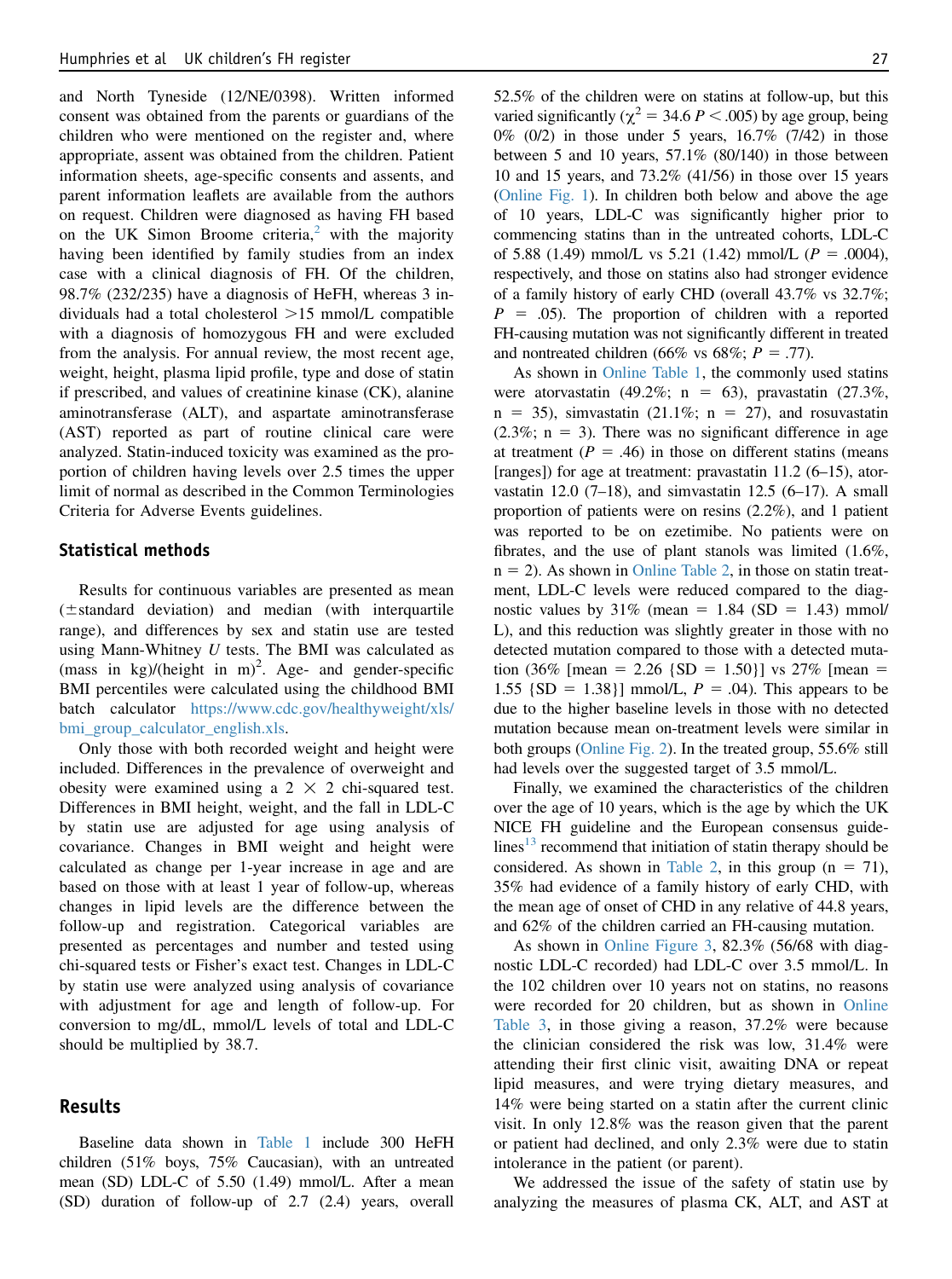and North Tyneside (12/NE/0398). Written informed consent was obtained from the parents or guardians of the children who were mentioned on the register and, where appropriate, assent was obtained from the children. Patient information sheets, age-specific consents and assents, and parent information leaflets are available from the authors on request. Children were diagnosed as having FH based on the UK Simon Broome criteria, $\frac{2}{3}$  $\frac{2}{3}$  $\frac{2}{3}$  with the majority having been identified by family studies from an index case with a clinical diagnosis of FH. Of the children, 98.7% (232/235) have a diagnosis of HeFH, whereas 3 individuals had a total cholesterol  $>15$  mmol/L compatible with a diagnosis of homozygous FH and were excluded from the analysis. For annual review, the most recent age, weight, height, plasma lipid profile, type and dose of statin if prescribed, and values of creatinine kinase (CK), alanine aminotransferase (ALT), and aspartate aminotransferase (AST) reported as part of routine clinical care were analyzed. Statin-induced toxicity was examined as the proportion of children having levels over 2.5 times the upper limit of normal as described in the Common Terminologies Criteria for Adverse Events guidelines.

#### Statistical methods

Results for continuous variables are presented as mean  $(\pm$ standard deviation) and median (with interquartile range), and differences by sex and statin use are tested using Mann-Whitney  $U$  tests. The BMI was calculated as  $(mass$  in kg)/(height in m)<sup>2</sup>. Age- and gender-specific BMI percentiles were calculated using the childhood BMI batch calculator [https://www.cdc.gov/healthyweight/xls/](https://www.cdc.gov/healthyweight/xls/bmi_group_calculator_english.xls) [bmi\\_group\\_calculator\\_english.xls](https://www.cdc.gov/healthyweight/xls/bmi_group_calculator_english.xls).

Only those with both recorded weight and height were included. Differences in the prevalence of overweight and obesity were examined using a  $2 \times 2$  chi-squared test. Differences in BMI height, weight, and the fall in LDL-C by statin use are adjusted for age using analysis of covariance. Changes in BMI weight and height were calculated as change per 1-year increase in age and are based on those with at least 1 year of follow-up, whereas changes in lipid levels are the difference between the follow-up and registration. Categorical variables are presented as percentages and number and tested using chi-squared tests or Fisher's exact test. Changes in LDL-C by statin use were analyzed using analysis of covariance with adjustment for age and length of follow-up. For conversion to mg/dL, mmol/L levels of total and LDL-C should be multiplied by 38.7.

#### Results

Baseline data shown in [Table 1](#page-3-0) include 300 HeFH children (51% boys, 75% Caucasian), with an untreated mean (SD) LDL-C of 5.50 (1.49) mmol/L. After a mean (SD) duration of follow-up of 2.7 (2.4) years, overall

52.5% of the children were on statins at follow-up, but this varied significantly ( $\chi^2$  = 34.6 P < .005) by age group, being 0% (0/2) in those under 5 years, 16.7% (7/42) in those between 5 and 10 years, 57.1% (80/140) in those between 10 and 15 years, and 73.2% (41/56) in those over 15 years (Online Fig. 1). In children both below and above the age of 10 years, LDL-C was significantly higher prior to commencing statins than in the untreated cohorts, LDL-C of 5.88 (1.49) mmol/L vs 5.21 (1.42) mmol/L ( $P = .0004$ ), respectively, and those on statins also had stronger evidence of a family history of early CHD (overall 43.7% vs 32.7%;  $P = .05$ ). The proportion of children with a reported FH-causing mutation was not significantly different in treated and nontreated children (66% vs 68%;  $P = .77$ ).

As shown in Online Table 1, the commonly used statins were atorvastatin (49.2%;  $n = 63$ ), pravastatin (27.3%,  $n = 35$ ), simvastatin (21.1%;  $n = 27$ ), and rosuvastatin  $(2.3\%; n = 3)$ . There was no significant difference in age at treatment ( $P = .46$ ) in those on different statins (means [ranges]) for age at treatment: pravastatin 11.2 (6–15), atorvastatin 12.0 (7-18), and simvastatin 12.5 (6-17). A small proportion of patients were on resins (2.2%), and 1 patient was reported to be on ezetimibe. No patients were on fibrates, and the use of plant stanols was limited (1.6%,  $n = 2$ ). As shown in Online Table 2, in those on statin treatment, LDL-C levels were reduced compared to the diagnostic values by  $31\%$  (mean = 1.84 (SD = 1.43) mmol/ L), and this reduction was slightly greater in those with no detected mutation compared to those with a detected mutation (36% [mean = 2.26 {SD = 1.50}] vs 27% [mean = 1.55  $\{SD = 1.38\}$ ] mmol/L,  $P = .04$ ). This appears to be due to the higher baseline levels in those with no detected mutation because mean on-treatment levels were similar in both groups (Online Fig. 2). In the treated group, 55.6% still had levels over the suggested target of 3.5 mmol/L.

Finally, we examined the characteristics of the children over the age of 10 years, which is the age by which the UK NICE FH guideline and the European consensus guidelines $13$  recommend that initiation of statin therapy should be considered. As shown in [Table 2,](#page-4-0) in this group  $(n = 71)$ , 35% had evidence of a family history of early CHD, with the mean age of onset of CHD in any relative of 44.8 years, and 62% of the children carried an FH-causing mutation.

As shown in Online Figure 3, 82.3% (56/68 with diagnostic LDL-C recorded) had LDL-C over 3.5 mmol/L. In the 102 children over 10 years not on statins, no reasons were recorded for 20 children, but as shown in Online Table 3, in those giving a reason, 37.2% were because the clinician considered the risk was low, 31.4% were attending their first clinic visit, awaiting DNA or repeat lipid measures, and were trying dietary measures, and 14% were being started on a statin after the current clinic visit. In only 12.8% was the reason given that the parent or patient had declined, and only 2.3% were due to statin intolerance in the patient (or parent).

We addressed the issue of the safety of statin use by analyzing the measures of plasma CK, ALT, and AST at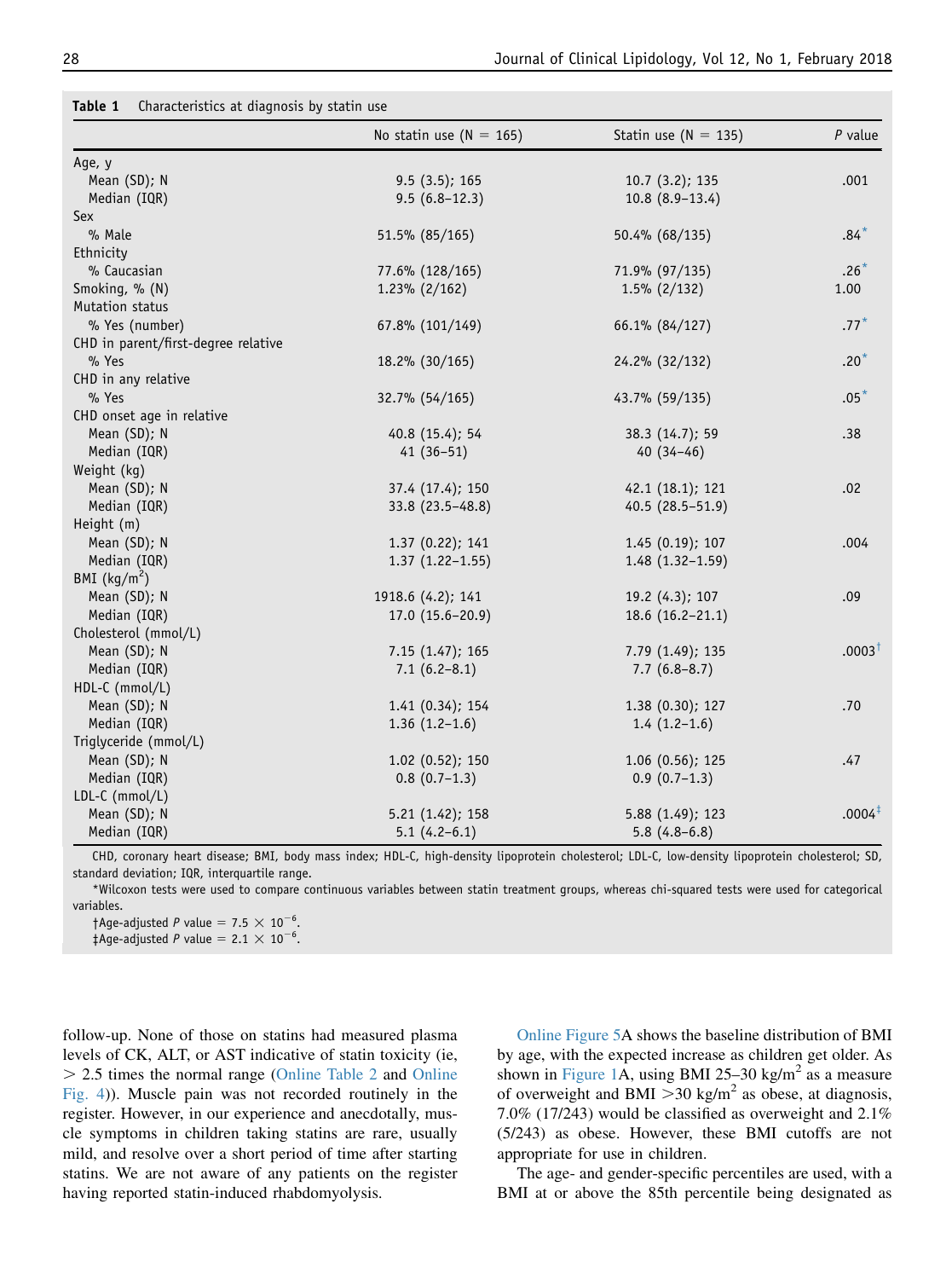|                                     | No statin use ( $N = 165$ ) | Statin use $(N = 135)$ | $P$ value          |
|-------------------------------------|-----------------------------|------------------------|--------------------|
| Age, y                              |                             |                        |                    |
| Mean (SD); N                        | 9.5(3.5); 165               | $10.7(3.2)$ ; 135      | .001               |
| Median (IQR)                        | $9.5(6.8-12.3)$             | $10.8(8.9-13.4)$       |                    |
| Sex                                 |                             |                        |                    |
| % Male                              | 51.5% (85/165)              | 50.4% (68/135)         | $.84*$             |
| Ethnicity                           |                             |                        |                    |
| % Caucasian                         | 77.6% (128/165)             | 71.9% (97/135)         | $.26*$             |
| Smoking, % (N)                      | $1.23\%$ (2/162)            | $1.5\%$ (2/132)        | 1.00               |
| Mutation status                     |                             |                        |                    |
| % Yes (number)                      | 67.8% (101/149)             | 66.1% (84/127)         | $.77*$             |
| CHD in parent/first-degree relative |                             |                        |                    |
| % Yes                               | 18.2% (30/165)              | 24.2% (32/132)         | $.20*$             |
| CHD in any relative                 |                             |                        |                    |
| % Yes                               | 32.7% (54/165)              | 43.7% (59/135)         | $.05*$             |
| CHD onset age in relative           |                             |                        |                    |
| Mean (SD); N                        | 40.8 (15.4); 54             | 38.3 (14.7); 59        | .38                |
| Median (IQR)                        | $41(36-51)$                 | $40(34-46)$            |                    |
| Weight (kg)                         |                             |                        |                    |
| Mean (SD); N                        | 37.4 (17.4); 150            | 42.1 (18.1); 121       | .02                |
| Median (IQR)                        | 33.8 (23.5-48.8)            | 40.5 (28.5-51.9)       |                    |
| Height (m)                          |                             |                        |                    |
| Mean (SD); N                        | 1.37 (0.22); 141            | 1.45(0.19); 107        | .004               |
| Median (IQR)                        | $1.37(1.22 - 1.55)$         | $1.48(1.32-1.59)$      |                    |
| BMI $(kg/m2)$                       |                             |                        |                    |
| Mean (SD); N                        | 1918.6 (4.2); 141           | 19.2 (4.3); 107        | .09                |
| Median (IQR)                        | $17.0(15.6-20.9)$           | $18.6(16.2-21.1)$      |                    |
| Cholesterol (mmol/L)                |                             |                        |                    |
| Mean (SD); N                        | 7.15(1.47); 165             | 7.79 (1.49); 135       | $.0003^{\dagger}$  |
| Median (IQR)                        | $7.1(6.2-8.1)$              | $7.7(6.8-8.7)$         |                    |
| HDL-C (mmol/L)                      |                             |                        |                    |
| Mean (SD); N                        | 1.41(0.34); 154             | 1.38(0.30); 127        | .70                |
| Median (IQR)                        | $1.36(1.2-1.6)$             | $1.4(1.2-1.6)$         |                    |
| Triglyceride (mmol/L)               |                             |                        |                    |
| Mean (SD); N                        | $1.02$ (0.52); 150          | $1.06$ (0.56); 125     | .47                |
| Median (IQR)                        | $0.8(0.7-1.3)$              | $0.9(0.7-1.3)$         |                    |
| LDL-C (mmol/L)                      |                             |                        |                    |
| Mean (SD); N                        | 5.21(1.42); 158             | 5.88 (1.49); 123       | .0004 <sup>‡</sup> |
| Median (IQR)                        | $5.1(4.2-6.1)$              | $5.8(4.8-6.8)$         |                    |

<span id="page-3-0"></span>

| Table 1 |  | Characteristics at diagnosis by statin use |
|---------|--|--------------------------------------------|
|---------|--|--------------------------------------------|

CHD, coronary heart disease; BMI, body mass index; HDL-C, high-density lipoprotein cholesterol; LDL-C, low-density lipoprotein cholesterol; SD, standard deviation; IQR, interquartile range.

\*Wilcoxon tests were used to compare continuous variables between statin treatment groups, whereas chi-squared tests were used for categorical variables.

 $\dagger$ Age-adjusted P value = 7.5  $\times$  10<sup>-6</sup>.

 $\ddagger$ Age-adjusted P value = 2.1  $\times$  10<sup>-6</sup>.

follow-up. None of those on statins had measured plasma levels of CK, ALT, or AST indicative of statin toxicity (ie, . 2.5 times the normal range (Online Table 2 and Online Fig. 4)). Muscle pain was not recorded routinely in the register. However, in our experience and anecdotally, muscle symptoms in children taking statins are rare, usually mild, and resolve over a short period of time after starting statins. We are not aware of any patients on the register having reported statin-induced rhabdomyolysis.

Online Figure 5A shows the baseline distribution of BMI by age, with the expected increase as children get older. As shown in [Figure 1](#page-5-0)A, using BMI 25–30 kg/m<sup>2</sup> as a measure of overweight and BMI  $>$ 30 kg/m<sup>2</sup> as obese, at diagnosis, 7.0% (17/243) would be classified as overweight and 2.1% (5/243) as obese. However, these BMI cutoffs are not appropriate for use in children.

The age- and gender-specific percentiles are used, with a BMI at or above the 85th percentile being designated as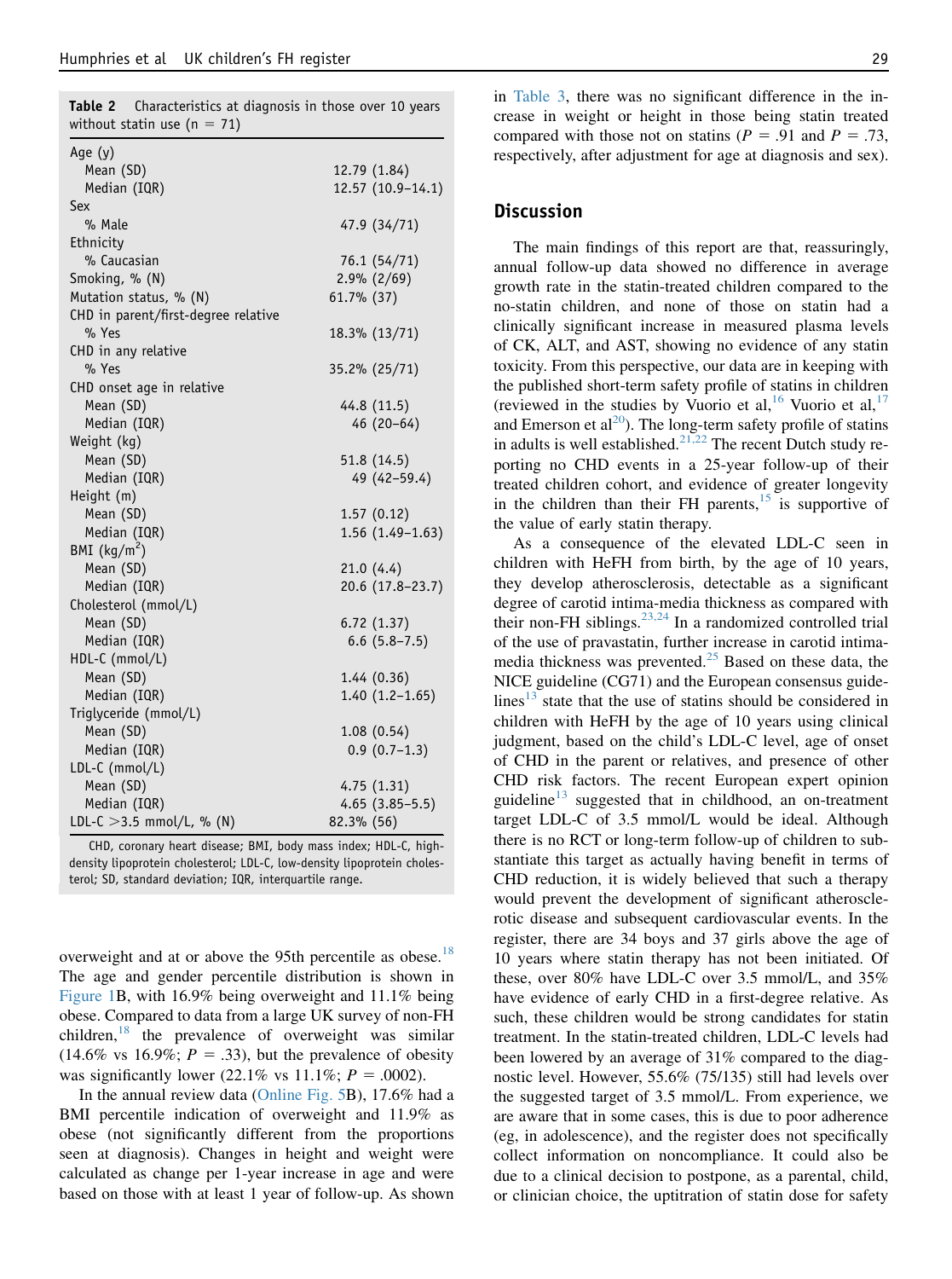<span id="page-4-0"></span>Table 2 Characteristics at diagnosis in those over 10 years

| without statin use ( $n = 71$ )     |            |                   |
|-------------------------------------|------------|-------------------|
| Age (y)                             |            |                   |
| Mean (SD)                           |            | 12.79 (1.84)      |
| Median (IQR)                        |            | 12.57 (10.9-14.1) |
| Sex                                 |            |                   |
| % Male                              |            | 47.9 (34/71)      |
| Ethnicity                           |            |                   |
| % Caucasian                         |            | 76.1 (54/71)      |
| Smoking, % (N)                      |            | $2.9\% (2/69)$    |
| Mutation status, % (N)              | 61.7% (37) |                   |
| CHD in parent/first-degree relative |            |                   |
| % Yes                               |            | 18.3% (13/71)     |
| CHD in any relative                 |            |                   |
| % Yes                               |            | 35.2% (25/71)     |
| CHD onset age in relative           |            |                   |
| Mean (SD)                           |            | 44.8 (11.5)       |
| Median (IQR)                        |            | $46(20-64)$       |
| Weight (kg)                         |            |                   |
| Mean (SD)                           |            | 51.8 (14.5)       |
| Median (IQR)                        |            | 49 (42-59.4)      |
| Height (m)                          |            |                   |
| Mean (SD)                           |            | 1.57(0.12)        |
| Median (IQR)                        |            | $1.56(1.49-1.63)$ |
| BMI $(kg/m^2)$                      |            |                   |
| Mean (SD)                           |            | 21.0(4.4)         |
| Median (IQR)                        |            | 20.6 (17.8-23.7)  |
| Cholesterol (mmol/L)                |            |                   |
| Mean (SD)                           |            | 6.72(1.37)        |
| Median (IQR)                        |            | $6.6$ $(5.8-7.5)$ |
| HDL-C (mmol/L)                      |            |                   |
| Mean (SD)                           |            | 1.44(0.36)        |
| Median (IQR)                        |            | $1.40(1.2-1.65)$  |
| Triglyceride (mmol/L)               |            |                   |
| Mean (SD)                           |            | 1.08(0.54)        |
| Median (IQR)                        |            | $0.9(0.7-1.3)$    |
| LDL-C (mmol/L)                      |            |                   |
| Mean (SD)                           |            | 4.75(1.31)        |
| Median (IQR)                        |            | $4.65(3.85-5.5)$  |
| LDL-C $>3.5$ mmol/L, % (N)          | 82.3% (56) |                   |

CHD, coronary heart disease; BMI, body mass index; HDL-C, highdensity lipoprotein cholesterol; LDL-C, low-density lipoprotein cholesterol; SD, standard deviation; IQR, interquartile range.

overweight and at or above the 95th percentile as obese.<sup>[18](#page-7-0)</sup> The age and gender percentile distribution is shown in [Figure 1](#page-5-0)B, with 16.9% being overweight and 11.1% being obese. Compared to data from a large UK survey of non-FH children, $^{18}$  $^{18}$  $^{18}$  the prevalence of overweight was similar  $(14.6\% \text{ vs } 16.9\%; P = .33)$ , but the prevalence of obesity was significantly lower (22.1% vs 11.1%;  $P = .0002$ ).

In the annual review data (Online Fig. 5B), 17.6% had a BMI percentile indication of overweight and 11.9% as obese (not significantly different from the proportions seen at diagnosis). Changes in height and weight were calculated as change per 1-year increase in age and were based on those with at least 1 year of follow-up. As shown

in [Table 3](#page-5-0), there was no significant difference in the increase in weight or height in those being statin treated compared with those not on statins ( $P = .91$  and  $P = .73$ , respectively, after adjustment for age at diagnosis and sex).

#### Discussion

The main findings of this report are that, reassuringly, annual follow-up data showed no difference in average growth rate in the statin-treated children compared to the no-statin children, and none of those on statin had a clinically significant increase in measured plasma levels of CK, ALT, and AST, showing no evidence of any statin toxicity. From this perspective, our data are in keeping with the published short-term safety profile of statins in children (reviewed in the studies by Vuorio et al, <sup>[16](#page-7-0)</sup> Vuorio et al, <sup>[17](#page-7-0)</sup> and Emerson et  $al^{20}$  $al^{20}$  $al^{20}$ ). The long-term safety profile of statins in adults is well established.<sup>[21,22](#page-7-0)</sup> The recent Dutch study reporting no CHD events in a 25-year follow-up of their treated children cohort, and evidence of greater longevity in the children than their FH parents, $15$  is supportive of the value of early statin therapy.

As a consequence of the elevated LDL-C seen in children with HeFH from birth, by the age of 10 years, they develop atherosclerosis, detectable as a significant degree of carotid intima-media thickness as compared with their non-FH siblings.<sup>[23,24](#page-7-0)</sup> In a randomized controlled trial of the use of pravastatin, further increase in carotid intimamedia thickness was prevented. $^{25}$  $^{25}$  $^{25}$  Based on these data, the NICE guideline (CG71) and the European consensus guidelines $^{13}$  $^{13}$  $^{13}$  state that the use of statins should be considered in children with HeFH by the age of 10 years using clinical judgment, based on the child's LDL-C level, age of onset of CHD in the parent or relatives, and presence of other CHD risk factors. The recent European expert opinion guideline<sup>[13](#page-7-0)</sup> suggested that in childhood, an on-treatment target LDL-C of 3.5 mmol/L would be ideal. Although there is no RCT or long-term follow-up of children to substantiate this target as actually having benefit in terms of CHD reduction, it is widely believed that such a therapy would prevent the development of significant atherosclerotic disease and subsequent cardiovascular events. In the register, there are 34 boys and 37 girls above the age of 10 years where statin therapy has not been initiated. Of these, over 80% have LDL-C over 3.5 mmol/L, and 35% have evidence of early CHD in a first-degree relative. As such, these children would be strong candidates for statin treatment. In the statin-treated children, LDL-C levels had been lowered by an average of 31% compared to the diagnostic level. However, 55.6% (75/135) still had levels over the suggested target of 3.5 mmol/L. From experience, we are aware that in some cases, this is due to poor adherence (eg, in adolescence), and the register does not specifically collect information on noncompliance. It could also be due to a clinical decision to postpone, as a parental, child, or clinician choice, the uptitration of statin dose for safety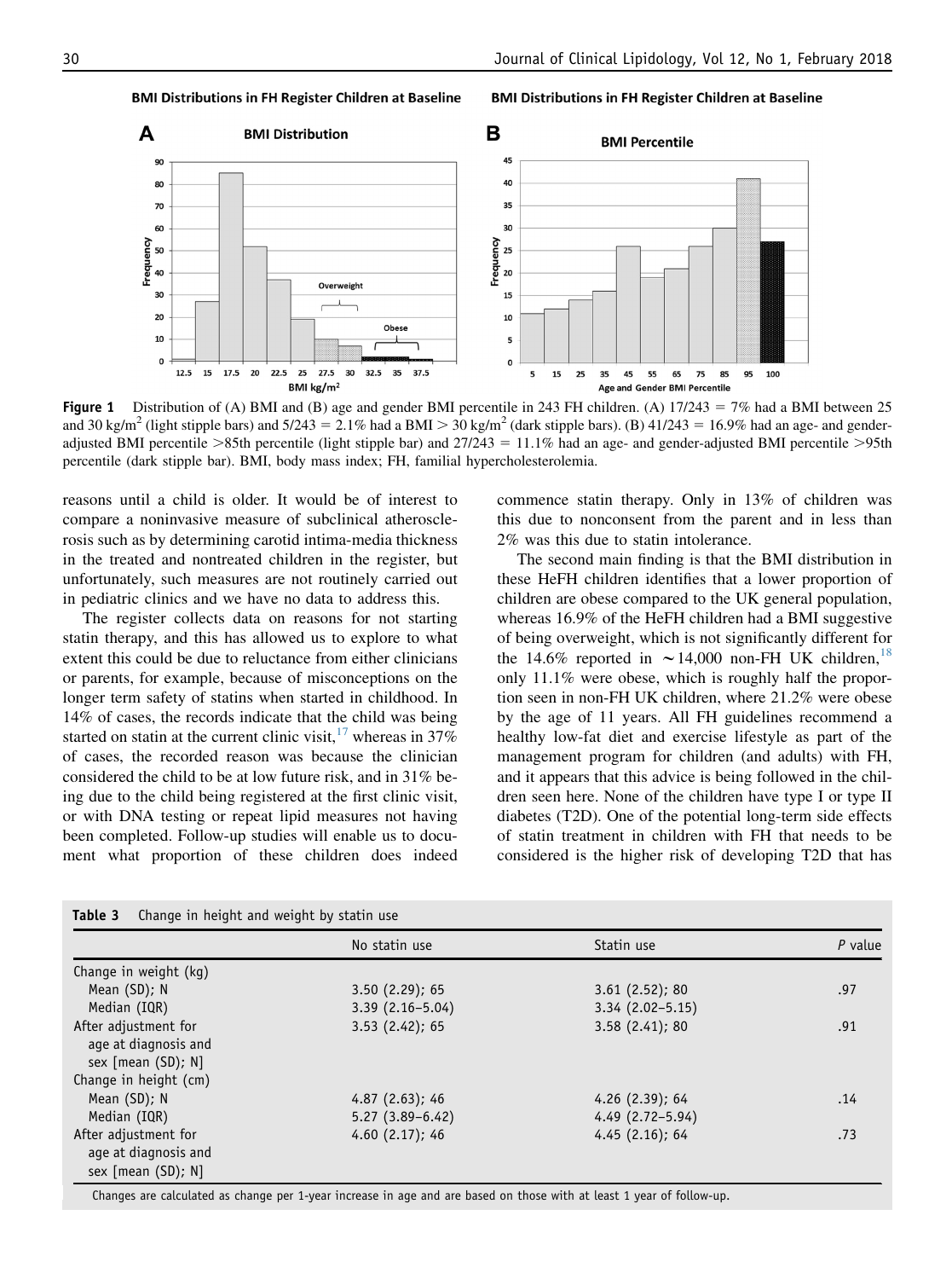**BMI Distributions in FH Register Children at Baseline** 



Figure 1 Distribution of (A) BMI and (B) age and gender BMI percentile in 243 FH children. (A)  $17/243 = 7\%$  had a BMI between 25 and 30 kg/m<sup>2</sup> (light stipple bars) and 5/243 = 2.1% had a BMI > 30 kg/m<sup>2</sup> (dark stipple bars). (B) 41/243 = 16.9% had an age- and genderadjusted BMI percentile  $>85$ th percentile (light stipple bar) and  $27/243 = 11.1\%$  had an age- and gender-adjusted BMI percentile  $>95$ th percentile (dark stipple bar). BMI, body mass index; FH, familial hypercholesterolemia.

reasons until a child is older. It would be of interest to compare a noninvasive measure of subclinical atherosclerosis such as by determining carotid intima-media thickness in the treated and nontreated children in the register, but unfortunately, such measures are not routinely carried out in pediatric clinics and we have no data to address this.

<span id="page-5-0"></span>**BMI Distributions in FH Register Children at Baseline** 

The register collects data on reasons for not starting statin therapy, and this has allowed us to explore to what extent this could be due to reluctance from either clinicians or parents, for example, because of misconceptions on the longer term safety of statins when started in childhood. In 14% of cases, the records indicate that the child was being started on statin at the current clinic visit,  $17$  whereas in 37% of cases, the recorded reason was because the clinician considered the child to be at low future risk, and in 31% being due to the child being registered at the first clinic visit, or with DNA testing or repeat lipid measures not having been completed. Follow-up studies will enable us to document what proportion of these children does indeed

commence statin therapy. Only in 13% of children was this due to nonconsent from the parent and in less than 2% was this due to statin intolerance.

The second main finding is that the BMI distribution in these HeFH children identifies that a lower proportion of children are obese compared to the UK general population, whereas 16.9% of the HeFH children had a BMI suggestive of being overweight, which is not significantly different for the 14.6% reported in  $\sim$  14,000 non-FH UK children, <sup>[18](#page-7-0)</sup> only 11.1% were obese, which is roughly half the proportion seen in non-FH UK children, where 21.2% were obese by the age of 11 years. All FH guidelines recommend a healthy low-fat diet and exercise lifestyle as part of the management program for children (and adults) with FH, and it appears that this advice is being followed in the children seen here. None of the children have type I or type II diabetes (T2D). One of the potential long-term side effects of statin treatment in children with FH that needs to be considered is the higher risk of developing T2D that has

| - Change in height and weight by statin use                          |                     |                     |           |
|----------------------------------------------------------------------|---------------------|---------------------|-----------|
|                                                                      | No statin use       | Statin use          | $P$ value |
| Change in weight (kg)                                                |                     |                     |           |
| Mean (SD); N                                                         | 3.50(2.29); 65      | 3.61(2.52); 80      | .97       |
| Median (IQR)                                                         | $3.39(2.16-5.04)$   | $3.34(2.02 - 5.15)$ |           |
| After adjustment for<br>age at diagnosis and<br>sex $[mean (SD); N]$ | 3.53(2.42); 65      | 3.58(2.41); 80      | .91       |
| Change in height (cm)                                                |                     |                     |           |
| Mean (SD); N                                                         | 4.87(2.63); 46      | $4.26$ (2.39); 64   | .14       |
| Median (IQR)                                                         | $5.27(3.89 - 6.42)$ | $4.49(2.72 - 5.94)$ |           |
| After adjustment for<br>age at diagnosis and<br>sex [mean (SD); N]   | 4.60(2.17); 46      | 4.45(2.16); 64      | .73       |

Table 3 Change in height and weight by statin use

Changes are calculated as change per 1-year increase in age and are based on those with at least 1 year of follow-up.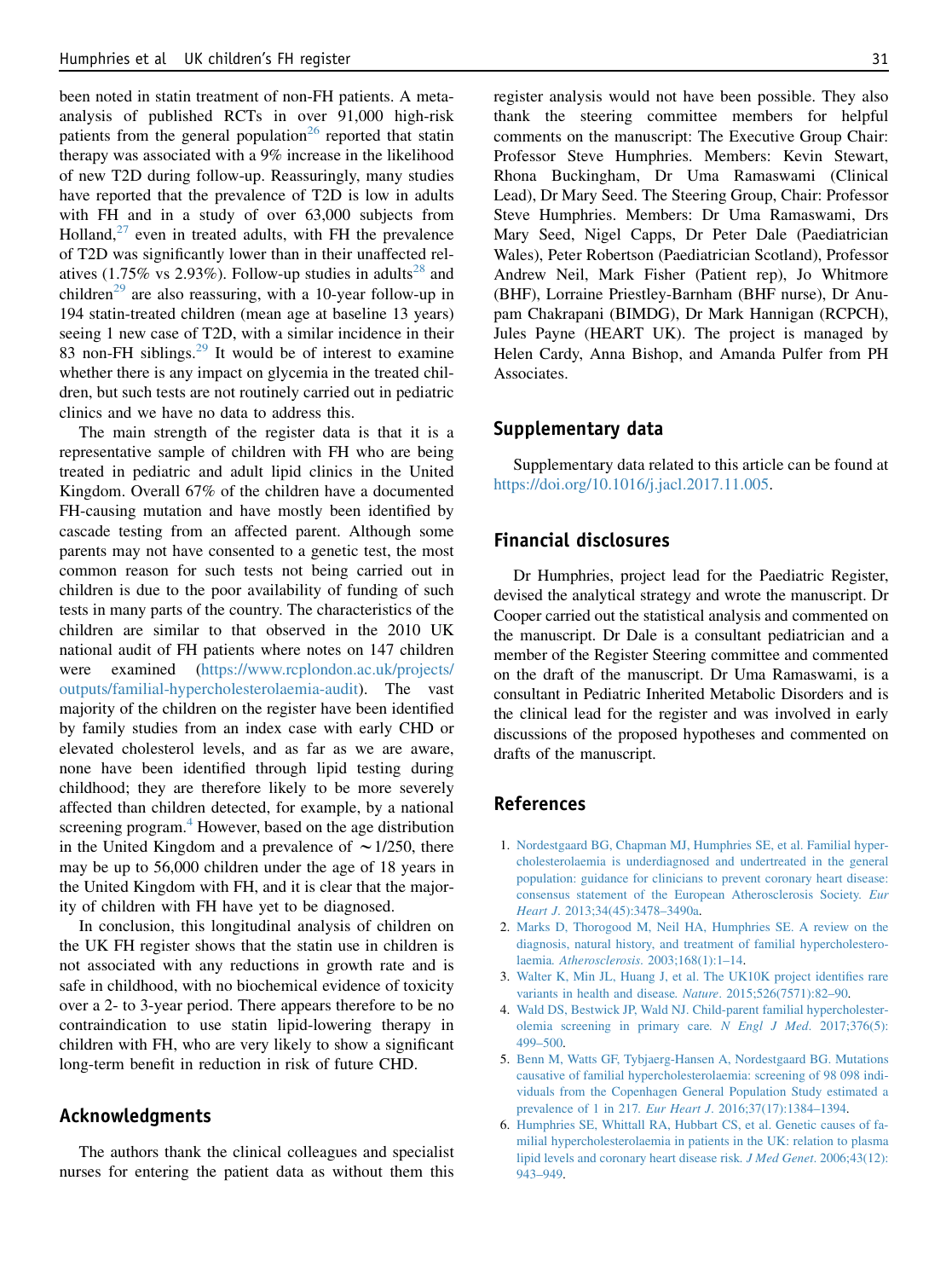<span id="page-6-0"></span>been noted in statin treatment of non-FH patients. A metaanalysis of published RCTs in over 91,000 high-risk patients from the general population<sup>[26](#page-7-0)</sup> reported that statin therapy was associated with a 9% increase in the likelihood of new T2D during follow-up. Reassuringly, many studies have reported that the prevalence of T2D is low in adults with FH and in a study of over 63,000 subjects from Holland, $27$  even in treated adults, with FH the prevalence of T2D was significantly lower than in their unaffected rel-atives (1.75% vs 2.93%). Follow-up studies in adults<sup>[28](#page-7-0)</sup> and children<sup>[29](#page-7-0)</sup> are also reassuring, with a 10-year follow-up in 194 statin-treated children (mean age at baseline 13 years) seeing 1 new case of T2D, with a similar incidence in their 83 non-FH siblings.<sup>[29](#page-7-0)</sup> It would be of interest to examine whether there is any impact on glycemia in the treated children, but such tests are not routinely carried out in pediatric clinics and we have no data to address this.

The main strength of the register data is that it is a representative sample of children with FH who are being treated in pediatric and adult lipid clinics in the United Kingdom. Overall 67% of the children have a documented FH-causing mutation and have mostly been identified by cascade testing from an affected parent. Although some parents may not have consented to a genetic test, the most common reason for such tests not being carried out in children is due to the poor availability of funding of such tests in many parts of the country. The characteristics of the children are similar to that observed in the 2010 UK national audit of FH patients where notes on 147 children were examined ([https://www.rcplondon.ac.uk/projects/](https://www.rcplondon.ac.uk/projects/outputs/familial-hypercholesterolaemia-audit) [outputs/familial-hypercholesterolaemia-audit\)](https://www.rcplondon.ac.uk/projects/outputs/familial-hypercholesterolaemia-audit). The vast majority of the children on the register have been identified by family studies from an index case with early CHD or elevated cholesterol levels, and as far as we are aware, none have been identified through lipid testing during childhood; they are therefore likely to be more severely affected than children detected, for example, by a national screening program.<sup>4</sup> However, based on the age distribution in the United Kingdom and a prevalence of  $\sim$  1/250, there may be up to 56,000 children under the age of 18 years in the United Kingdom with FH, and it is clear that the majority of children with FH have yet to be diagnosed.

In conclusion, this longitudinal analysis of children on the UK FH register shows that the statin use in children is not associated with any reductions in growth rate and is safe in childhood, with no biochemical evidence of toxicity over a 2- to 3-year period. There appears therefore to be no contraindication to use statin lipid-lowering therapy in children with FH, who are very likely to show a significant long-term benefit in reduction in risk of future CHD.

# Acknowledgments

The authors thank the clinical colleagues and specialist nurses for entering the patient data as without them this

register analysis would not have been possible. They also thank the steering committee members for helpful comments on the manuscript: The Executive Group Chair: Professor Steve Humphries. Members: Kevin Stewart, Rhona Buckingham, Dr Uma Ramaswami (Clinical Lead), Dr Mary Seed. The Steering Group, Chair: Professor Steve Humphries. Members: Dr Uma Ramaswami, Drs Mary Seed, Nigel Capps, Dr Peter Dale (Paediatrician Wales), Peter Robertson (Paediatrician Scotland), Professor Andrew Neil, Mark Fisher (Patient rep), Jo Whitmore (BHF), Lorraine Priestley-Barnham (BHF nurse), Dr Anupam Chakrapani (BIMDG), Dr Mark Hannigan (RCPCH), Jules Payne (HEART UK). The project is managed by Helen Cardy, Anna Bishop, and Amanda Pulfer from PH Associates.

### Supplementary data

Supplementary data related to this article can be found at [https://doi.org/10.1016/j.jacl.2017.11.005.](https://doi.org/10.1016/j.jacl.2017.11.005)

## Financial disclosures

Dr Humphries, project lead for the Paediatric Register, devised the analytical strategy and wrote the manuscript. Dr Cooper carried out the statistical analysis and commented on the manuscript. Dr Dale is a consultant pediatrician and a member of the Register Steering committee and commented on the draft of the manuscript. Dr Uma Ramaswami, is a consultant in Pediatric Inherited Metabolic Disorders and is the clinical lead for the register and was involved in early discussions of the proposed hypotheses and commented on drafts of the manuscript.

# References

- 1. [Nordestgaard BG, Chapman MJ, Humphries SE, et al. Familial hyper](http://refhub.elsevier.com/S1933-2874(17)30514-7/sref1)[cholesterolaemia is underdiagnosed and undertreated in the general](http://refhub.elsevier.com/S1933-2874(17)30514-7/sref1) [population: guidance for clinicians to prevent coronary heart disease:](http://refhub.elsevier.com/S1933-2874(17)30514-7/sref1) [consensus statement of the European Atherosclerosis Society](http://refhub.elsevier.com/S1933-2874(17)30514-7/sref1). Eur Heart J[. 2013;34\(45\):3478–3490a](http://refhub.elsevier.com/S1933-2874(17)30514-7/sref1).
- 2. [Marks D, Thorogood M, Neil HA, Humphries SE. A review on the](http://refhub.elsevier.com/S1933-2874(17)30514-7/sref2) [diagnosis, natural history, and treatment of familial hypercholestero](http://refhub.elsevier.com/S1933-2874(17)30514-7/sref2)laemia. Atherosclerosis[. 2003;168\(1\):1–14.](http://refhub.elsevier.com/S1933-2874(17)30514-7/sref2)
- 3. [Walter K, Min JL, Huang J, et al. The UK10K project identifies rare](http://refhub.elsevier.com/S1933-2874(17)30514-7/sref3) [variants in health and disease](http://refhub.elsevier.com/S1933-2874(17)30514-7/sref3). Nature. 2015;526(7571):82–90.
- 4. [Wald DS, Bestwick JP, Wald NJ. Child-parent familial hypercholester](http://refhub.elsevier.com/S1933-2874(17)30514-7/sref4)[olemia screening in primary care](http://refhub.elsevier.com/S1933-2874(17)30514-7/sref4). N Engl J Med. 2017;376(5): [499–500.](http://refhub.elsevier.com/S1933-2874(17)30514-7/sref4)
- 5. [Benn M, Watts GF, Tybjaerg-Hansen A, Nordestgaard BG. Mutations](http://refhub.elsevier.com/S1933-2874(17)30514-7/sref5) [causative of familial hypercholesterolaemia: screening of 98 098 indi](http://refhub.elsevier.com/S1933-2874(17)30514-7/sref5)[viduals from the Copenhagen General Population Study estimated a](http://refhub.elsevier.com/S1933-2874(17)30514-7/sref5) prevalence of 1 in 217. Eur Heart J[. 2016;37\(17\):1384–1394](http://refhub.elsevier.com/S1933-2874(17)30514-7/sref5).
- 6. [Humphries SE, Whittall RA, Hubbart CS, et al. Genetic causes of fa](http://refhub.elsevier.com/S1933-2874(17)30514-7/sref6)[milial hypercholesterolaemia in patients in the UK: relation to plasma](http://refhub.elsevier.com/S1933-2874(17)30514-7/sref6) [lipid levels and coronary heart disease risk](http://refhub.elsevier.com/S1933-2874(17)30514-7/sref6). J Med Genet. 2006;43(12): [943–949.](http://refhub.elsevier.com/S1933-2874(17)30514-7/sref6)